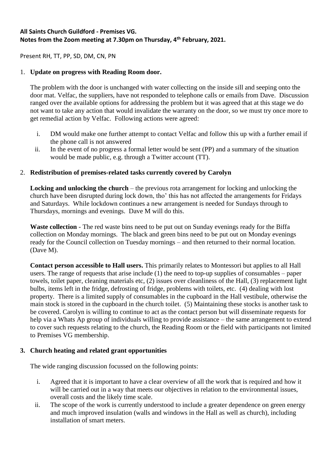## **All Saints Church Guildford - Premises VG. Notes from the Zoom meeting at 7.30pm on Thursday, 4 th February, 2021.**

Present RH, TT, PP, SD, DM, CN, PN

## 1. **Update on progress with Reading Room door.**

The problem with the door is unchanged with water collecting on the inside sill and seeping onto the door mat. Velfac, the suppliers, have not responded to telephone calls or emails from Dave. Discussion ranged over the available options for addressing the problem but it was agreed that at this stage we do not want to take any action that would invalidate the warranty on the door, so we must try once more to get remedial action by Velfac. Following actions were agreed:

- i. DM would make one further attempt to contact Velfac and follow this up with a further email if the phone call is not answered
- ii. In the event of no progress a formal letter would be sent (PP) and a summary of the situation would be made public, e.g. through a Twitter account (TT).

## 2. **Redistribution of premises-related tasks currently covered by Carolyn**

**Locking and unlocking the church** – the previous rota arrangement for locking and unlocking the church have been disrupted during lock down, tho' this has not affected the arrangements for Fridays and Saturdays. While lockdown continues a new arrangement is needed for Sundays through to Thursdays, mornings and evenings. Dave M will do this.

**Waste collection** - The red waste bins need to be put out on Sunday evenings ready for the Biffa collection on Monday mornings. The black and green bins need to be put out on Monday evenings ready for the Council collection on Tuesday mornings – and then returned to their normal location. (Dave M).

**Contact person accessible to Hall users.** This primarily relates to Montessori but applies to all Hall users. The range of requests that arise include (1) the need to top-up supplies of consumables – paper towels, toilet paper, cleaning materials etc, (2) issues over cleanliness of the Hall, (3) replacement light bulbs, items left in the fridge, defrosting of fridge, problems with toilets, etc. (4) dealing with lost property. There is a limited supply of consumables in the cupboard in the Hall vestibule, otherwise the main stock is stored in the cupboard in the church toilet. (5) Maintaining these stocks is another task to be covered. Carolyn is willing to continue to act as the contact person but will disseminate requests for help via a Whats Ap group of individuals willing to provide assistance – the same arrangement to extend to cover such requests relating to the church, the Reading Room or the field with participants not limited to Premises VG membership.

## **3. Church heating and related grant opportunities**

The wide ranging discussion focussed on the following points:

- i. Agreed that it is important to have a clear overview of all the work that is required and how it will be carried out in a way that meets our objectives in relation to the environmental issues, overall costs and the likely time scale.
- ii. The scope of the work is currently understood to include a greater dependence on green energy and much improved insulation (walls and windows in the Hall as well as church), including installation of smart meters.